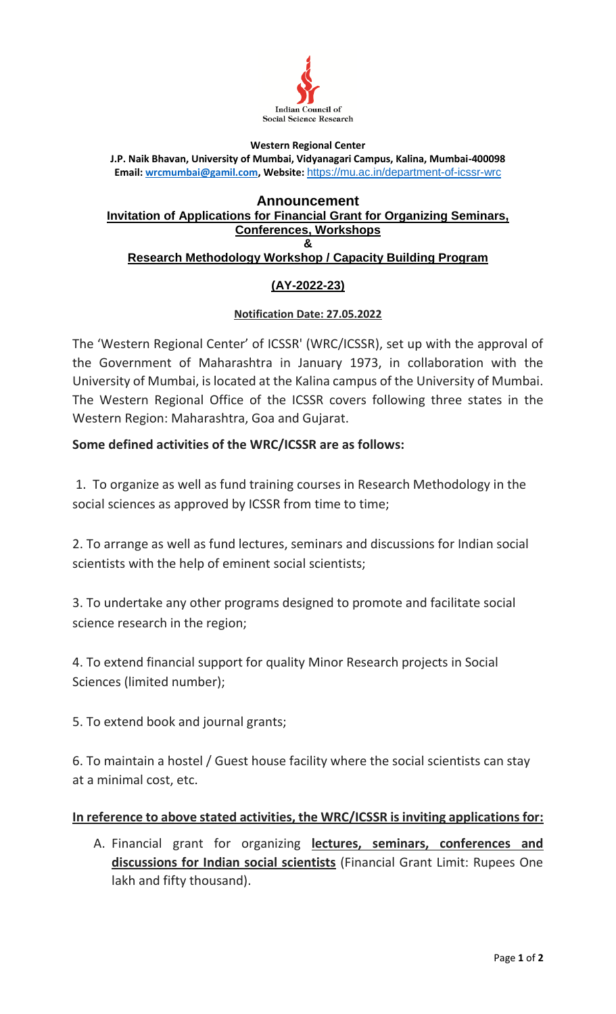

#### **Western Regional Center**

**J.P. Naik Bhavan, University of Mumbai, Vidyanagari Campus, Kalina, Mumbai-400098 Email[: wrcmumbai@gamil.com,](mailto:wrcmumbai@gamil.com) Website:** <https://mu.ac.in/department-of-icssr-wrc>

#### **Announcement Invitation of Applications for Financial Grant for Organizing Seminars, Conferences, Workshops & Research Methodology Workshop / Capacity Building Program**

# **(AY-2022-23)**

### **Notification Date: 27.05.2022**

The 'Western Regional Center' of ICSSR' (WRC/ICSSR), set up with the approval of the Government of Maharashtra in January 1973, in collaboration with the University of Mumbai, is located at the Kalina campus of the University of Mumbai. The Western Regional Office of the ICSSR covers following three states in the Western Region: Maharashtra, Goa and Gujarat.

# **Some defined activities of the WRC/ICSSR are as follows:**

1. To organize as well as fund training courses in Research Methodology in the social sciences as approved by ICSSR from time to time;

2. To arrange as well as fund lectures, seminars and discussions for Indian social scientists with the help of eminent social scientists;

3. To undertake any other programs designed to promote and facilitate social science research in the region;

4. To extend financial support for quality Minor Research projects in Social Sciences (limited number);

5. To extend book and journal grants;

6. To maintain a hostel / Guest house facility where the social scientists can stay at a minimal cost, etc.

# **In reference to above stated activities, the WRC/ICSSR is inviting applications for:**

A. Financial grant for organizing **lectures, seminars, conferences and discussions for Indian social scientists** (Financial Grant Limit: Rupees One lakh and fifty thousand).